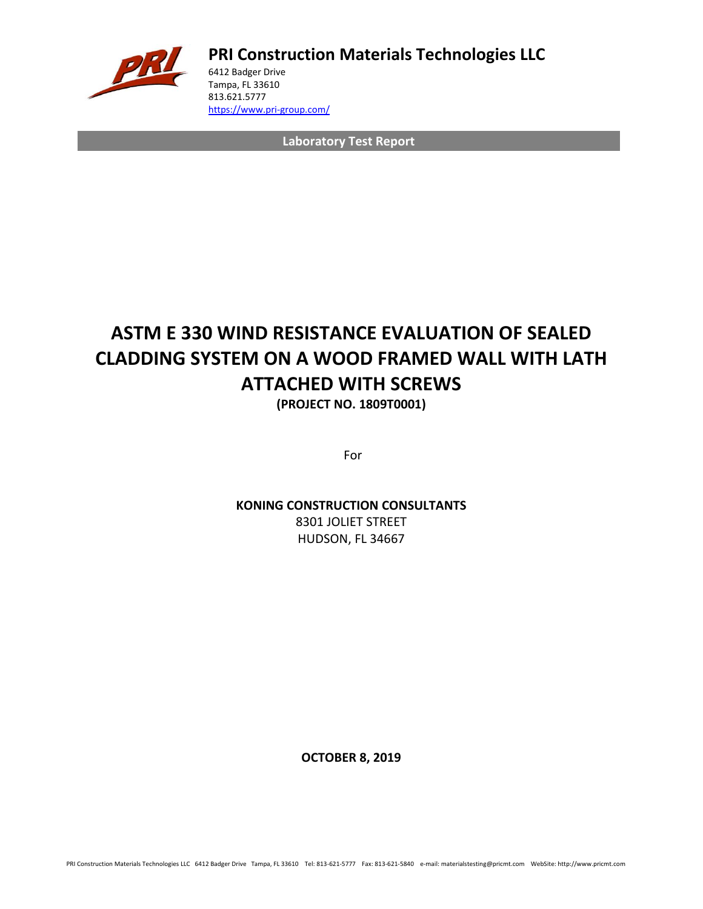

**PRI Construction Materials Technologies LLC**

6412 Badger Drive Tampa, FL 33610 813.621.5777 <https://www.pri-group.com/>

**Laboratory Test Report**

## **ASTM E 330 WIND RESISTANCE EVALUATION OF SEALED CLADDING SYSTEM ON A WOOD FRAMED WALL WITH LATH ATTACHED WITH SCREWS**

**(PROJECT NO. 1809T0001)**

For

### **KONING CONSTRUCTION CONSULTANTS**

8301 JOLIET STREET HUDSON, FL 34667

**OCTOBER 8, 2019**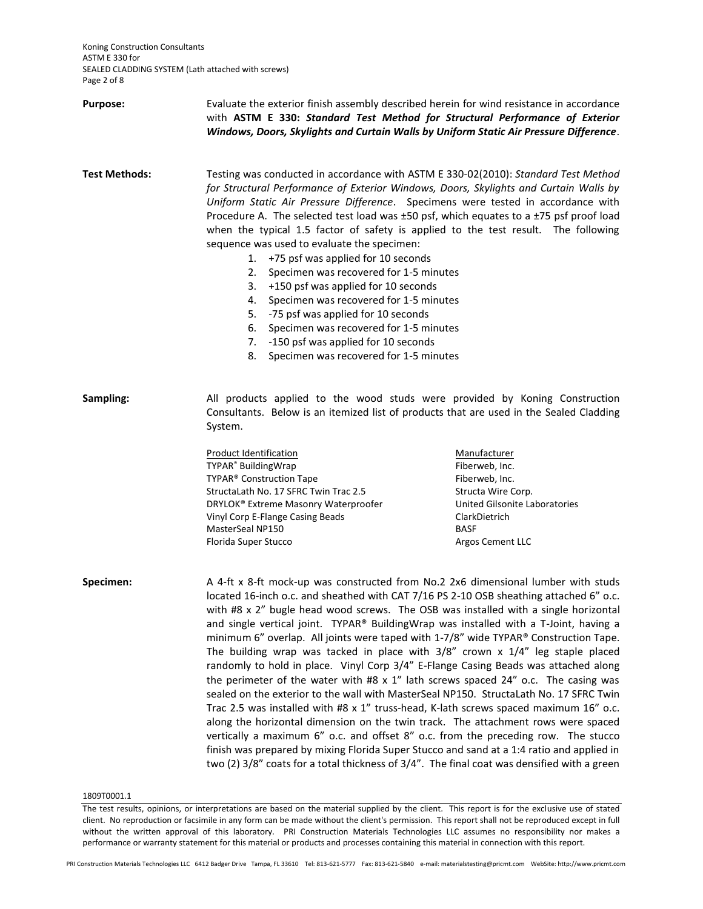Koning Construction Consultants ASTM E 330 for SEALED CLADDING SYSTEM (Lath attached with screws) Page 2 of 8

| <b>Purpose:</b>      | Evaluate the exterior finish assembly described herein for wind resistance in accordance<br>with ASTM E 330: Standard Test Method for Structural Performance of Exterior<br>Windows, Doors, Skylights and Curtain Walls by Uniform Static Air Pressure Difference.                                                                                                                                                                                                                                                                                                                                                                                                                                                                                                                                                                                                                                                                                                                                                                                                                                                                                                                                                                                                                   |                                                                                                                                                             |  |  |
|----------------------|--------------------------------------------------------------------------------------------------------------------------------------------------------------------------------------------------------------------------------------------------------------------------------------------------------------------------------------------------------------------------------------------------------------------------------------------------------------------------------------------------------------------------------------------------------------------------------------------------------------------------------------------------------------------------------------------------------------------------------------------------------------------------------------------------------------------------------------------------------------------------------------------------------------------------------------------------------------------------------------------------------------------------------------------------------------------------------------------------------------------------------------------------------------------------------------------------------------------------------------------------------------------------------------|-------------------------------------------------------------------------------------------------------------------------------------------------------------|--|--|
| <b>Test Methods:</b> | Testing was conducted in accordance with ASTM E 330-02(2010): Standard Test Method<br>for Structural Performance of Exterior Windows, Doors, Skylights and Curtain Walls by<br>Uniform Static Air Pressure Difference. Specimens were tested in accordance with<br>Procedure A. The selected test load was ±50 psf, which equates to a ±75 psf proof load<br>when the typical 1.5 factor of safety is applied to the test result. The following<br>sequence was used to evaluate the specimen:<br>+75 psf was applied for 10 seconds<br>1.<br>Specimen was recovered for 1-5 minutes<br>2.<br>+150 psf was applied for 10 seconds<br>3.<br>Specimen was recovered for 1-5 minutes<br>4.<br>-75 psf was applied for 10 seconds<br>5.<br>Specimen was recovered for 1-5 minutes<br>6.<br>-150 psf was applied for 10 seconds<br>7.<br>Specimen was recovered for 1-5 minutes<br>8.                                                                                                                                                                                                                                                                                                                                                                                                     |                                                                                                                                                             |  |  |
| Sampling:            | All products applied to the wood studs were provided by Koning Construction<br>Consultants. Below is an itemized list of products that are used in the Sealed Cladding<br>System.                                                                                                                                                                                                                                                                                                                                                                                                                                                                                                                                                                                                                                                                                                                                                                                                                                                                                                                                                                                                                                                                                                    |                                                                                                                                                             |  |  |
|                      | <b>Product Identification</b><br>TYPAR <sup>®</sup> BuildingWrap<br>TYPAR <sup>®</sup> Construction Tape<br>StructaLath No. 17 SFRC Twin Trac 2.5<br>DRYLOK® Extreme Masonry Waterproofer<br>Vinyl Corp E-Flange Casing Beads<br>MasterSeal NP150<br>Florida Super Stucco                                                                                                                                                                                                                                                                                                                                                                                                                                                                                                                                                                                                                                                                                                                                                                                                                                                                                                                                                                                                            | Manufacturer<br>Fiberweb, Inc.<br>Fiberweb, Inc.<br>Structa Wire Corp.<br>United Gilsonite Laboratories<br>ClarkDietrich<br><b>BASF</b><br>Argos Cement LLC |  |  |
| Specimen:            | A 4-ft x 8-ft mock-up was constructed from No.2 2x6 dimensional lumber with studs<br>located 16-inch o.c. and sheathed with CAT 7/16 PS 2-10 OSB sheathing attached 6" o.c.<br>with #8 x 2" bugle head wood screws. The OSB was installed with a single horizontal<br>and single vertical joint. TYPAR® BuildingWrap was installed with a T-Joint, having a<br>minimum 6" overlap. All joints were taped with 1-7/8" wide TYPAR® Construction Tape.<br>The building wrap was tacked in place with $3/8$ " crown x $1/4$ " leg staple placed<br>randomly to hold in place. Vinyl Corp 3/4" E-Flange Casing Beads was attached along<br>the perimeter of the water with #8 $x$ 1" lath screws spaced 24" o.c. The casing was<br>sealed on the exterior to the wall with MasterSeal NP150. StructaLath No. 17 SFRC Twin<br>Trac 2.5 was installed with #8 x 1" truss-head, K-lath screws spaced maximum 16" o.c.<br>along the horizontal dimension on the twin track. The attachment rows were spaced<br>vertically a maximum 6" o.c. and offset 8" o.c. from the preceding row. The stucco<br>finish was prepared by mixing Florida Super Stucco and sand at a 1:4 ratio and applied in<br>two (2) 3/8" coats for a total thickness of 3/4". The final coat was densified with a green |                                                                                                                                                             |  |  |

1809T0001.1

The test results, opinions, or interpretations are based on the material supplied by the client. This report is for the exclusive use of stated client. No reproduction or facsimile in any form can be made without the client's permission. This report shall not be reproduced except in full without the written approval of this laboratory. PRI Construction Materials Technologies LLC assumes no responsibility nor makes a performance or warranty statement for this material or products and processes containing this material in connection with this report.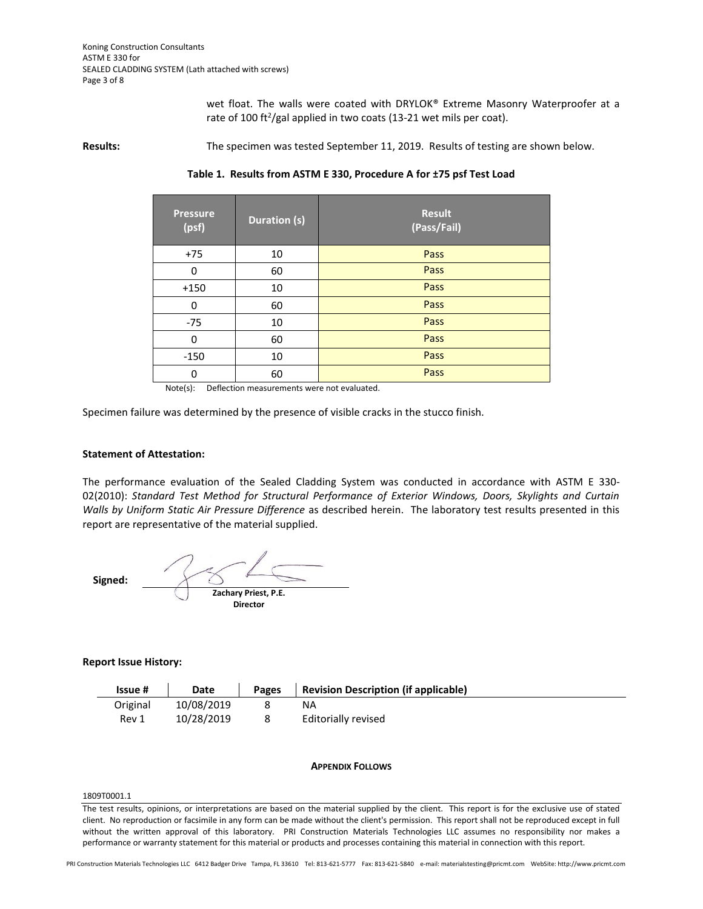wet float. The walls were coated with DRYLOK® Extreme Masonry Waterproofer at a rate of 100 ft<sup>2</sup>/gal applied in two coats (13-21 wet mils per coat).

**Results:** The specimen was tested September 11, 2019. Results of testing are shown below.

**Table 1. Results from ASTM E 330, Procedure A for ±75 psf Test Load**

| <b>Pressure</b><br>(psf) | <b>Duration (s)</b> | <b>Result</b><br>(Pass/Fail) |
|--------------------------|---------------------|------------------------------|
| $+75$                    | 10                  | Pass                         |
| $\Omega$                 | 60                  | Pass                         |
| $+150$                   | 10                  | Pass                         |
| 0                        | 60                  | Pass                         |
| $-75$                    | 10                  | Pass                         |
| $\Omega$                 | 60                  | Pass                         |
| $-150$                   | 10                  | Pass                         |
| 0                        | 60                  | Pass                         |

Note(s): Deflection measurements were not evaluated.

Specimen failure was determined by the presence of visible cracks in the stucco finish.

#### **Statement of Attestation:**

The performance evaluation of the Sealed Cladding System was conducted in accordance with ASTM E 330- 02(2010): *Standard Test Method for Structural Performance of Exterior Windows, Doors, Skylights and Curtain Walls by Uniform Static Air Pressure Difference* as described herein.The laboratory test results presented in this report are representative of the material supplied.

 **Signed: Zachary Priest, P.E. Director**

#### **Report Issue History:**

| Issue #  | Date       | Pages | <b>Revision Description (if applicable)</b> |
|----------|------------|-------|---------------------------------------------|
| Original | 10/08/2019 |       | ΝA                                          |
| Rev 1    | 10/28/2019 | 8     | Editorially revised                         |

#### **APPENDIX FOLLOWS**

#### 1809T0001.1

The test results, opinions, or interpretations are based on the material supplied by the client. This report is for the exclusive use of stated client. No reproduction or facsimile in any form can be made without the client's permission. This report shall not be reproduced except in full without the written approval of this laboratory. PRI Construction Materials Technologies LLC assumes no responsibility nor makes a performance or warranty statement for this material or products and processes containing this material in connection with this report.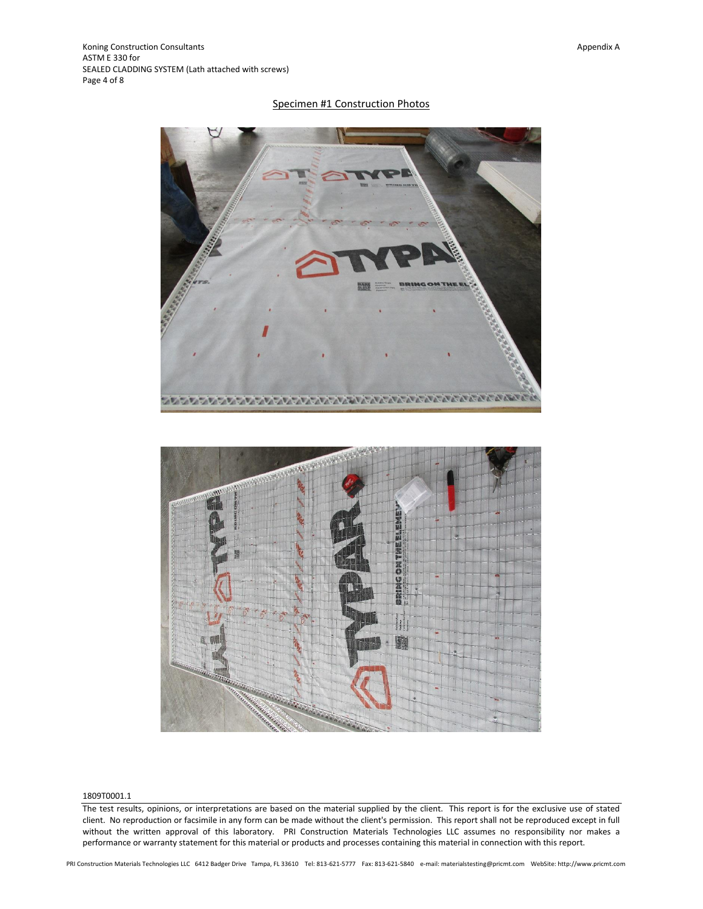#### Specimen #1 Construction Photos



#### 1809T0001.1

The test results, opinions, or interpretations are based on the material supplied by the client. This report is for the exclusive use of stated client. No reproduction or facsimile in any form can be made without the client's permission. This report shall not be reproduced except in full without the written approval of this laboratory. PRI Construction Materials Technologies LLC assumes no responsibility nor makes a performance or warranty statement for this material or products and processes containing this material in connection with this report.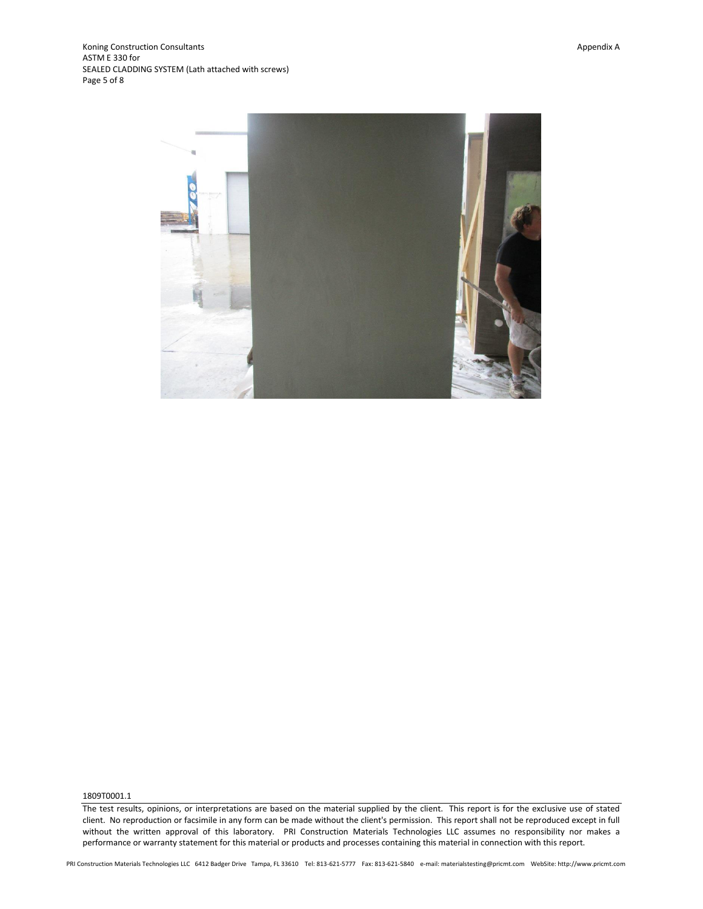

1809T0001.1

The test results, opinions, or interpretations are based on the material supplied by the client. This report is for the exclusive use of stated client. No reproduction or facsimile in any form can be made without the client's permission. This report shall not be reproduced except in full without the written approval of this laboratory. PRI Construction Materials Technologies LLC assumes no responsibility nor makes a performance or warranty statement for this material or products and processes containing this material in connection with this report.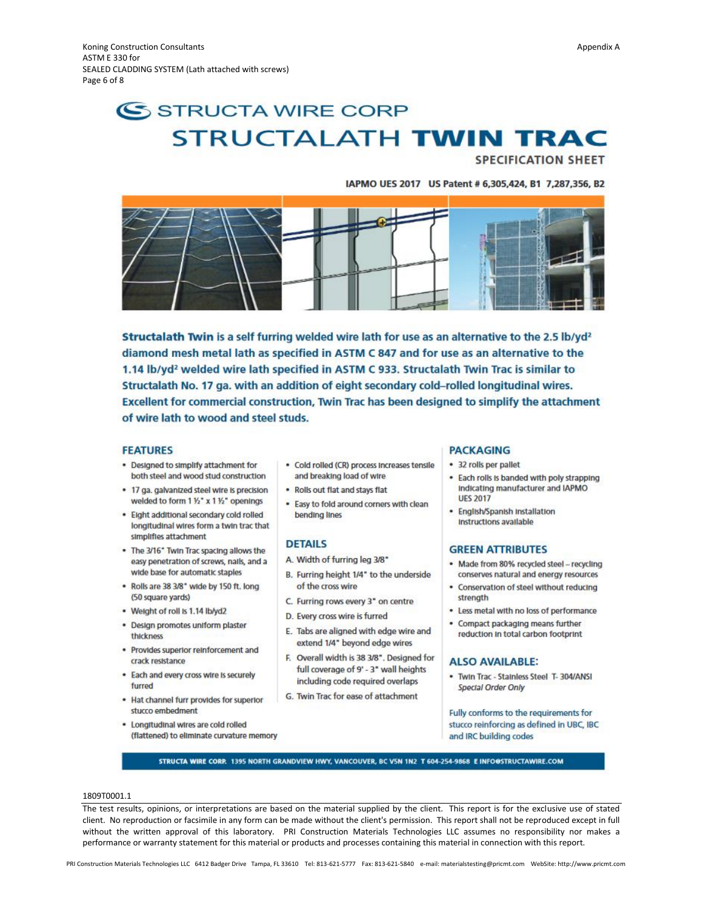# SSTRUCTA WIRE CORP **STRUCTALATH TWIN TRAC**

**SPECIFICATION SHEET** 

IAPMO UES 2017 US Patent # 6,305,424, B1 7,287,356, B2



Structalath Twin is a self furring welded wire lath for use as an alternative to the 2.5 lb/yd<sup>2</sup> diamond mesh metal lath as specified in ASTM C 847 and for use as an alternative to the 1.14 lb/yd<sup>2</sup> welded wire lath specified in ASTM C 933. Structalath Twin Trac is similar to Structalath No. 17 ga. with an addition of eight secondary cold-rolled longitudinal wires. Excellent for commercial construction, Twin Trac has been designed to simplify the attachment of wire lath to wood and steel studs.

#### **FEATURES**

- . Designed to simplify attachment for both steel and wood stud construction
- . 17 ga. galvanized steel wire is precision welded to form 1 1/2" x 1 1/2" openings
- . Eight additional secondary cold rolled longitudinal wires form a twin trac that simplifies attachment
- . The 3/16" Twin Trac spacing allows the easy penetration of screws, nails, and a wide base for automatic staples
- . Rolls are 38 3/8" wide by 150 ft. long (50 square yards)
- Weight of roll is 1.14 lb/yd2
- · Design promotes uniform plaster thickness
- · Provides superior reinforcement and crack resistance
- . Each and every cross wire is securely furred
- . Hat channel furr provides for superior stucco embedment
- . Longitudinal wires are cold rolled (flattened) to eliminate curvature memory
- · Cold rolled (CR) process Increases tensile and breaking load of wire
- . Rolls out flat and stays flat
- . Easy to fold around corners with clean bending lines

#### **DETAILS**

- A. Width of furring leg 3/8"
- B. Furring height 1/4" to the underside of the cross wire
- C. Furring rows every 3" on centre
- D. Every cross wire is furred
- E. Tabs are aligned with edge wire and extend 1/4" beyond edge wires
- F. Overall width is 38 3/8". Designed for full coverage of 9' - 3" wall heights including code required overlaps
- G. Twin Trac for ease of attachment

#### **PACKAGING**

- · 32 rolls per pallet
- . Each rolls is banded with poly strapping Indicating manufacturer and IAPMO **UES 2017**
- · English/Spanish Installation Instructions available

#### **GREEN ATTRIBUTES**

- · Made from 80% recycled steel recycling conserves natural and energy resources
- · Conservation of steel without reducing strength
- . Less metal with no loss of performance
- . Compact packaging means further reduction in total carbon footprint

#### **ALSO AVAILABLE:**

. Twin Trac - Stainless Steel T-304/ANSI **Special Order Only** 

Fully conforms to the requirements for stucco reinforcing as defined in UBC, IBC and IRC building codes

STRUCTA WIRE CORP. 1395 NORTH GRANDVIEW HWY, VANCOUVER, BC V5N 1N2 T 604-254-9868 E INFO@STRUCTAWIRE.COM

#### 1809T0001.1

The test results, opinions, or interpretations are based on the material supplied by the client. This report is for the exclusive use of stated client. No reproduction or facsimile in any form can be made without the client's permission. This report shall not be reproduced except in full without the written approval of this laboratory. PRI Construction Materials Technologies LLC assumes no responsibility nor makes a performance or warranty statement for this material or products and processes containing this material in connection with this report.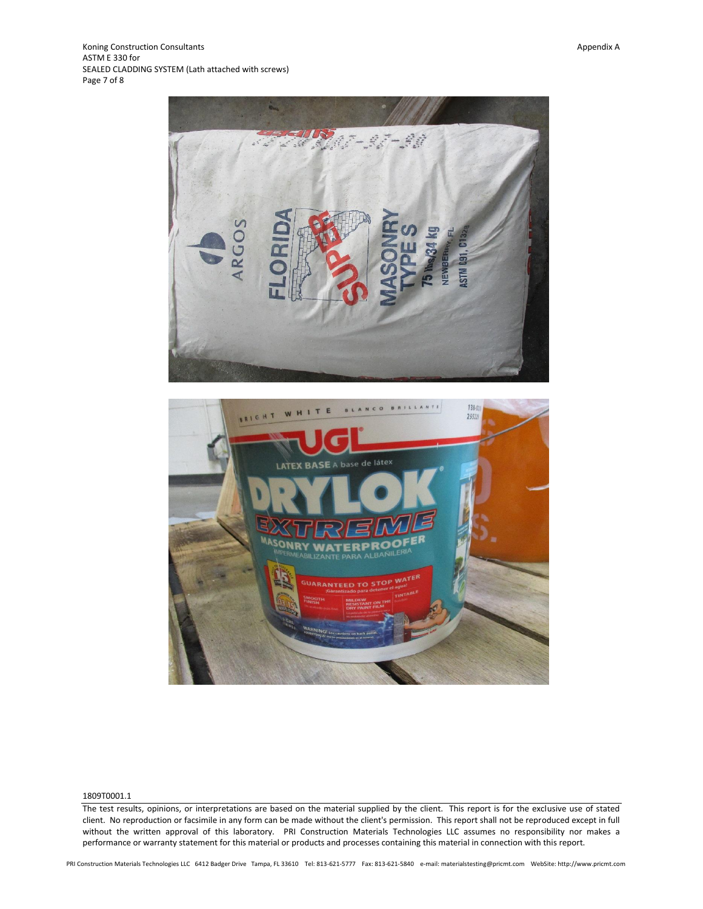Koning Construction Consultants and the consumer of the consumer of the consumer of the consumer of the consultants Appendix A ASTM E 330 for SEALED CLADDING SYSTEM (Lath attached with screws) Page 7 of 8





#### 1809T0001.1

The test results, opinions, or interpretations are based on the material supplied by the client. This report is for the exclusive use of stated client. No reproduction or facsimile in any form can be made without the client's permission. This report shall not be reproduced except in full without the written approval of this laboratory. PRI Construction Materials Technologies LLC assumes no responsibility nor makes a performance or warranty statement for this material or products and processes containing this material in connection with this report.